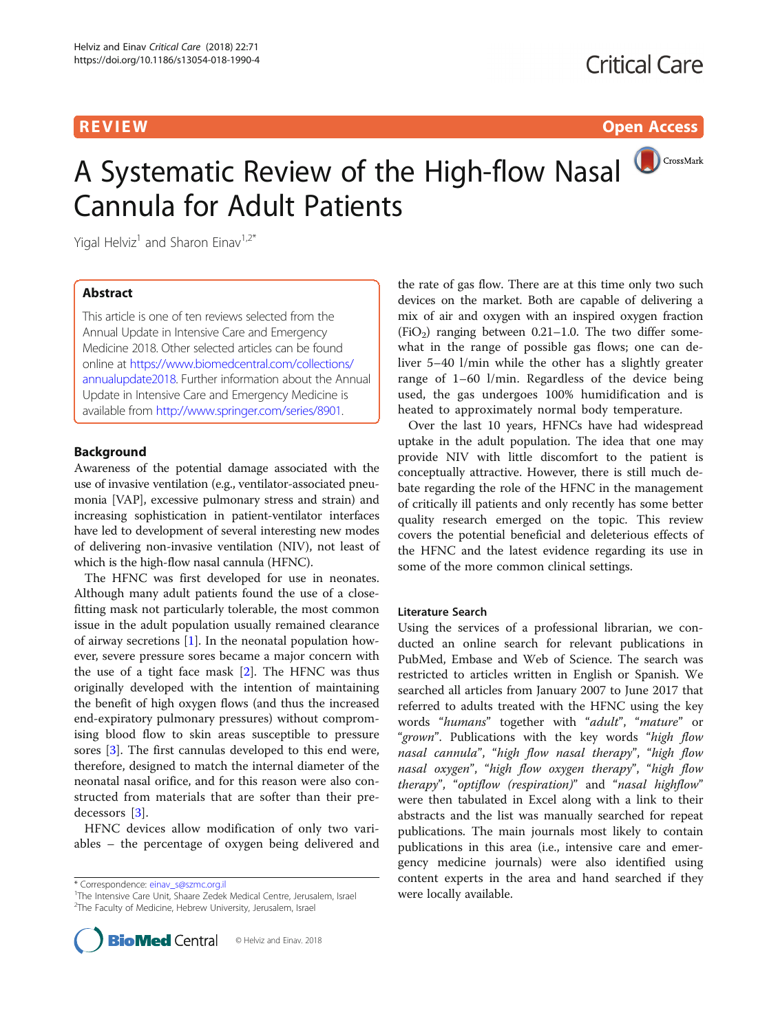**REVIEW CONSIDERING CONSIDERING CONSIDERING CONSIDERING CONSIDERING CONSIDERING CONSIDERING CONSIDERING CONSIDERING CONSIDERING CONSIDERING CONSIDERING CONSIDERING CONSIDERING CONSIDERING CONSIDERING CONSIDERING CONSIDER** 

# CrossMark A Systematic Review of the High-flow Nasal Cannula for Adult Patients

Yigal Helviz<sup>1</sup> and Sharon Einav<sup>1,2\*</sup>

# Abstract

This article is one of ten reviews selected from the Annual Update in Intensive Care and Emergency Medicine 2018. Other selected articles can be found online at [https://www.biomedcentral.com/collections/](https://www.biomedcentral.com/collections/annualupdate2018) [annualupdate2018.](https://www.biomedcentral.com/collections/annualupdate2018) Further information about the Annual Update in Intensive Care and Emergency Medicine is available from <http://www.springer.com/series/8901>.

# Background

Awareness of the potential damage associated with the use of invasive ventilation (e.g., ventilator-associated pneumonia [VAP], excessive pulmonary stress and strain) and increasing sophistication in patient-ventilator interfaces have led to development of several interesting new modes of delivering non-invasive ventilation (NIV), not least of which is the high-flow nasal cannula (HFNC).

The HFNC was first developed for use in neonates. Although many adult patients found the use of a closefitting mask not particularly tolerable, the most common issue in the adult population usually remained clearance of airway secretions [[1\]](#page-7-0). In the neonatal population however, severe pressure sores became a major concern with the use of a tight face mask [[2](#page-7-0)]. The HFNC was thus originally developed with the intention of maintaining the benefit of high oxygen flows (and thus the increased end-expiratory pulmonary pressures) without compromising blood flow to skin areas susceptible to pressure sores [\[3\]](#page-7-0). The first cannulas developed to this end were, therefore, designed to match the internal diameter of the neonatal nasal orifice, and for this reason were also constructed from materials that are softer than their predecessors [\[3](#page-7-0)].

HFNC devices allow modification of only two variables – the percentage of oxygen being delivered and

\* Correspondence: [einav\\_s@szmc.org.il](mailto:einav_s@szmc.org.il) <sup>1</sup>

<sup>&</sup>lt;sup>1</sup>The Intensive Care Unit, Shaare Zedek Medical Centre, Jerusalem, Israel <sup>2</sup>The Faculty of Medicine, Hebrew University, Jerusalem, Israel



the rate of gas flow. There are at this time only two such devices on the market. Both are capable of delivering a mix of air and oxygen with an inspired oxygen fraction (FiO<sub>2</sub>) ranging between 0.21–1.0. The two differ somewhat in the range of possible gas flows; one can deliver 5–40 l/min while the other has a slightly greater range of 1–60 l/min. Regardless of the device being used, the gas undergoes 100% humidification and is heated to approximately normal body temperature.

Over the last 10 years, HFNCs have had widespread uptake in the adult population. The idea that one may provide NIV with little discomfort to the patient is conceptually attractive. However, there is still much debate regarding the role of the HFNC in the management of critically ill patients and only recently has some better quality research emerged on the topic. This review covers the potential beneficial and deleterious effects of the HFNC and the latest evidence regarding its use in some of the more common clinical settings.

# Literature Search

Using the services of a professional librarian, we conducted an online search for relevant publications in PubMed, Embase and Web of Science. The search was restricted to articles written in English or Spanish. We searched all articles from January 2007 to June 2017 that referred to adults treated with the HFNC using the key words "humans" together with "adult", "mature" or "grown". Publications with the key words "high flow nasal cannula", "high flow nasal therapy", "high flow nasal oxygen", "high flow oxygen therapy", "high flow therapy", "optiflow (respiration)" and "nasal highflow" were then tabulated in Excel along with a link to their abstracts and the list was manually searched for repeat publications. The main journals most likely to contain publications in this area (i.e., intensive care and emergency medicine journals) were also identified using content experts in the area and hand searched if they were locally available.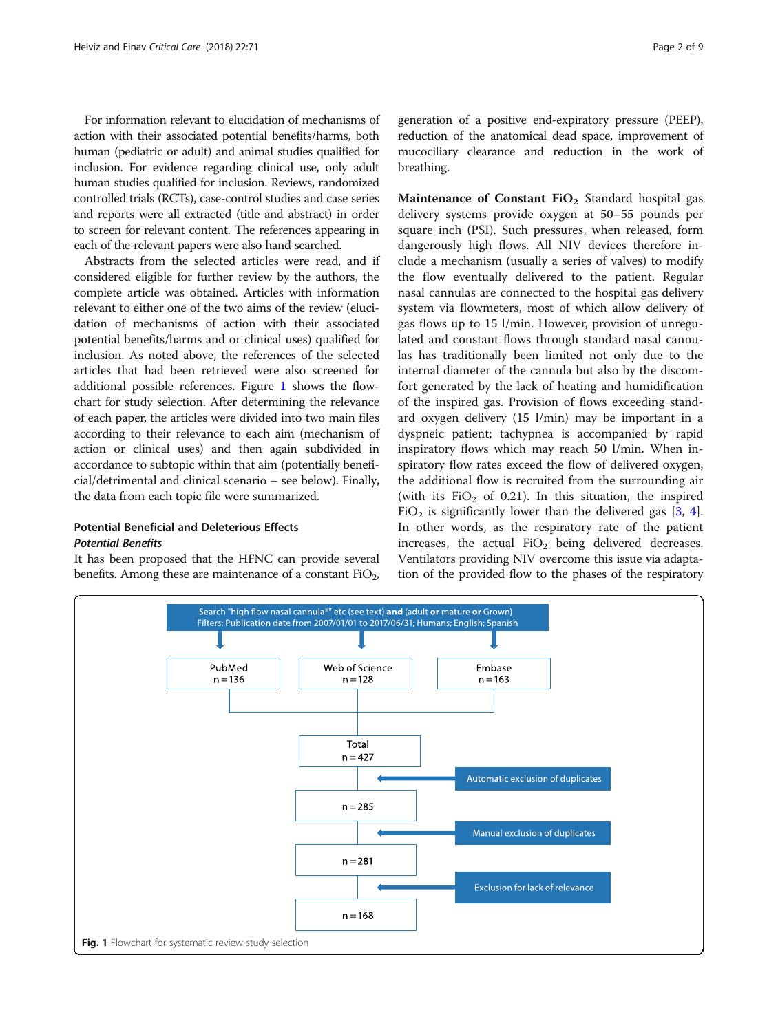For information relevant to elucidation of mechanisms of action with their associated potential benefits/harms, both human (pediatric or adult) and animal studies qualified for inclusion. For evidence regarding clinical use, only adult human studies qualified for inclusion. Reviews, randomized controlled trials (RCTs), case-control studies and case series and reports were all extracted (title and abstract) in order to screen for relevant content. The references appearing in each of the relevant papers were also hand searched.

Abstracts from the selected articles were read, and if considered eligible for further review by the authors, the complete article was obtained. Articles with information relevant to either one of the two aims of the review (elucidation of mechanisms of action with their associated potential benefits/harms and or clinical uses) qualified for inclusion. As noted above, the references of the selected articles that had been retrieved were also screened for additional possible references. Figure 1 shows the flowchart for study selection. After determining the relevance of each paper, the articles were divided into two main files according to their relevance to each aim (mechanism of action or clinical uses) and then again subdivided in accordance to subtopic within that aim (potentially beneficial/detrimental and clinical scenario – see below). Finally, the data from each topic file were summarized.

# Potential Beneficial and Deleterious Effects Potential Benefits

It has been proposed that the HFNC can provide several benefits. Among these are maintenance of a constant  $FiO<sub>2</sub>$ , generation of a positive end-expiratory pressure (PEEP), reduction of the anatomical dead space, improvement of mucociliary clearance and reduction in the work of breathing.

Maintenance of Constant FiO<sub>2</sub> Standard hospital gas delivery systems provide oxygen at 50–55 pounds per square inch (PSI). Such pressures, when released, form dangerously high flows. All NIV devices therefore include a mechanism (usually a series of valves) to modify the flow eventually delivered to the patient. Regular nasal cannulas are connected to the hospital gas delivery system via flowmeters, most of which allow delivery of gas flows up to 15 l/min. However, provision of unregulated and constant flows through standard nasal cannulas has traditionally been limited not only due to the internal diameter of the cannula but also by the discomfort generated by the lack of heating and humidification of the inspired gas. Provision of flows exceeding standard oxygen delivery (15 l/min) may be important in a dyspneic patient; tachypnea is accompanied by rapid inspiratory flows which may reach 50 l/min. When inspiratory flow rates exceed the flow of delivered oxygen, the additional flow is recruited from the surrounding air (with its  $FiO<sub>2</sub>$  of 0.21). In this situation, the inspired  $FiO<sub>2</sub>$  is significantly lower than the delivered gas [\[3](#page-7-0), [4](#page-7-0)]. In other words, as the respiratory rate of the patient increases, the actual  $FiO<sub>2</sub>$  being delivered decreases. Ventilators providing NIV overcome this issue via adaptation of the provided flow to the phases of the respiratory

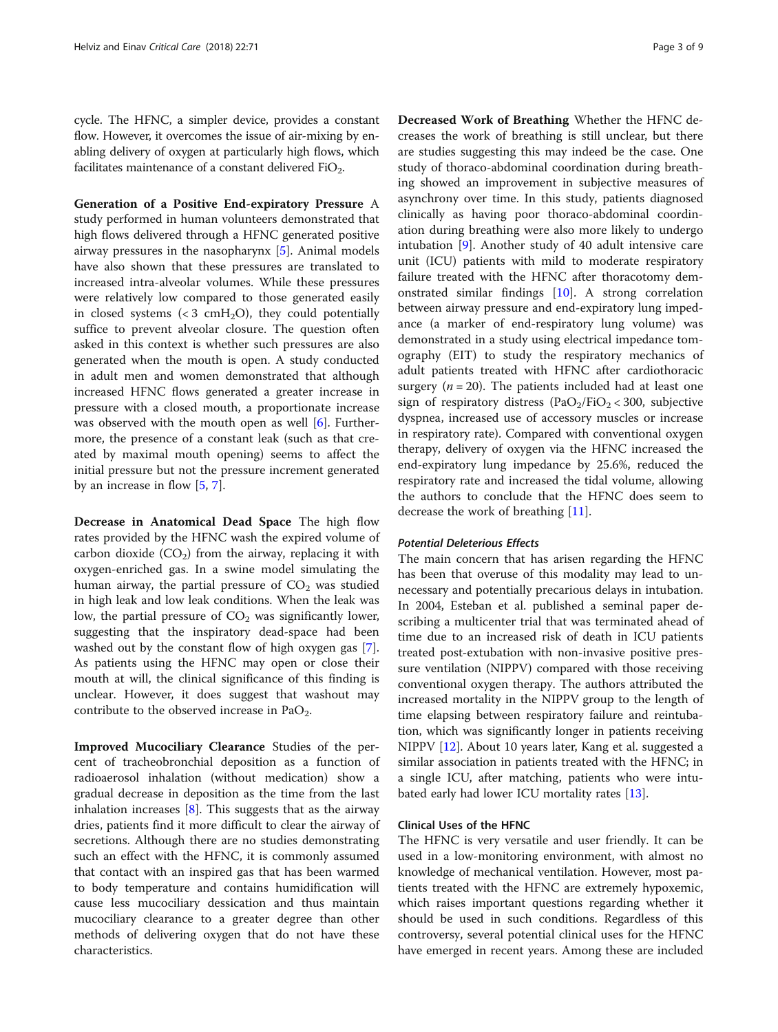cycle. The HFNC, a simpler device, provides a constant flow. However, it overcomes the issue of air-mixing by enabling delivery of oxygen at particularly high flows, which facilitates maintenance of a constant delivered  $FiO<sub>2</sub>$ .

Generation of a Positive End-expiratory Pressure A study performed in human volunteers demonstrated that high flows delivered through a HFNC generated positive airway pressures in the nasopharynx [\[5](#page-7-0)]. Animal models have also shown that these pressures are translated to increased intra-alveolar volumes. While these pressures were relatively low compared to those generated easily in closed systems  $(< 3 \text{ cm}H_2O)$ , they could potentially suffice to prevent alveolar closure. The question often asked in this context is whether such pressures are also generated when the mouth is open. A study conducted in adult men and women demonstrated that although increased HFNC flows generated a greater increase in pressure with a closed mouth, a proportionate increase was observed with the mouth open as well [[6\]](#page-7-0). Furthermore, the presence of a constant leak (such as that created by maximal mouth opening) seems to affect the initial pressure but not the pressure increment generated by an increase in flow [\[5](#page-7-0), [7](#page-7-0)].

Decrease in Anatomical Dead Space The high flow rates provided by the HFNC wash the expired volume of carbon dioxide  $(CO_2)$  from the airway, replacing it with oxygen-enriched gas. In a swine model simulating the human airway, the partial pressure of  $CO<sub>2</sub>$  was studied in high leak and low leak conditions. When the leak was low, the partial pressure of  $CO<sub>2</sub>$  was significantly lower, suggesting that the inspiratory dead-space had been washed out by the constant flow of high oxygen gas [\[7](#page-7-0)]. As patients using the HFNC may open or close their mouth at will, the clinical significance of this finding is unclear. However, it does suggest that washout may contribute to the observed increase in PaO<sub>2</sub>.

Improved Mucociliary Clearance Studies of the percent of tracheobronchial deposition as a function of radioaerosol inhalation (without medication) show a gradual decrease in deposition as the time from the last inhalation increases  $[8]$  $[8]$  $[8]$ . This suggests that as the airway dries, patients find it more difficult to clear the airway of secretions. Although there are no studies demonstrating such an effect with the HFNC, it is commonly assumed that contact with an inspired gas that has been warmed to body temperature and contains humidification will cause less mucociliary dessication and thus maintain mucociliary clearance to a greater degree than other methods of delivering oxygen that do not have these characteristics.

Decreased Work of Breathing Whether the HFNC decreases the work of breathing is still unclear, but there are studies suggesting this may indeed be the case. One study of thoraco-abdominal coordination during breathing showed an improvement in subjective measures of asynchrony over time. In this study, patients diagnosed clinically as having poor thoraco-abdominal coordination during breathing were also more likely to undergo intubation [[9\]](#page-7-0). Another study of 40 adult intensive care unit (ICU) patients with mild to moderate respiratory failure treated with the HFNC after thoracotomy demonstrated similar findings [\[10](#page-7-0)]. A strong correlation between airway pressure and end-expiratory lung impedance (a marker of end-respiratory lung volume) was demonstrated in a study using electrical impedance tomography (EIT) to study the respiratory mechanics of adult patients treated with HFNC after cardiothoracic surgery ( $n = 20$ ). The patients included had at least one sign of respiratory distress  $(\text{PaO}_2/\text{FiO}_2 < 300$ , subjective dyspnea, increased use of accessory muscles or increase in respiratory rate). Compared with conventional oxygen therapy, delivery of oxygen via the HFNC increased the end-expiratory lung impedance by 25.6%, reduced the respiratory rate and increased the tidal volume, allowing the authors to conclude that the HFNC does seem to decrease the work of breathing [[11\]](#page-7-0).

# Potential Deleterious Effects

The main concern that has arisen regarding the HFNC has been that overuse of this modality may lead to unnecessary and potentially precarious delays in intubation. In 2004, Esteban et al. published a seminal paper describing a multicenter trial that was terminated ahead of time due to an increased risk of death in ICU patients treated post-extubation with non-invasive positive pressure ventilation (NIPPV) compared with those receiving conventional oxygen therapy. The authors attributed the increased mortality in the NIPPV group to the length of time elapsing between respiratory failure and reintubation, which was significantly longer in patients receiving NIPPV [\[12](#page-7-0)]. About 10 years later, Kang et al. suggested a similar association in patients treated with the HFNC; in a single ICU, after matching, patients who were intubated early had lower ICU mortality rates [[13](#page-8-0)].

# Clinical Uses of the HFNC

The HFNC is very versatile and user friendly. It can be used in a low-monitoring environment, with almost no knowledge of mechanical ventilation. However, most patients treated with the HFNC are extremely hypoxemic, which raises important questions regarding whether it should be used in such conditions. Regardless of this controversy, several potential clinical uses for the HFNC have emerged in recent years. Among these are included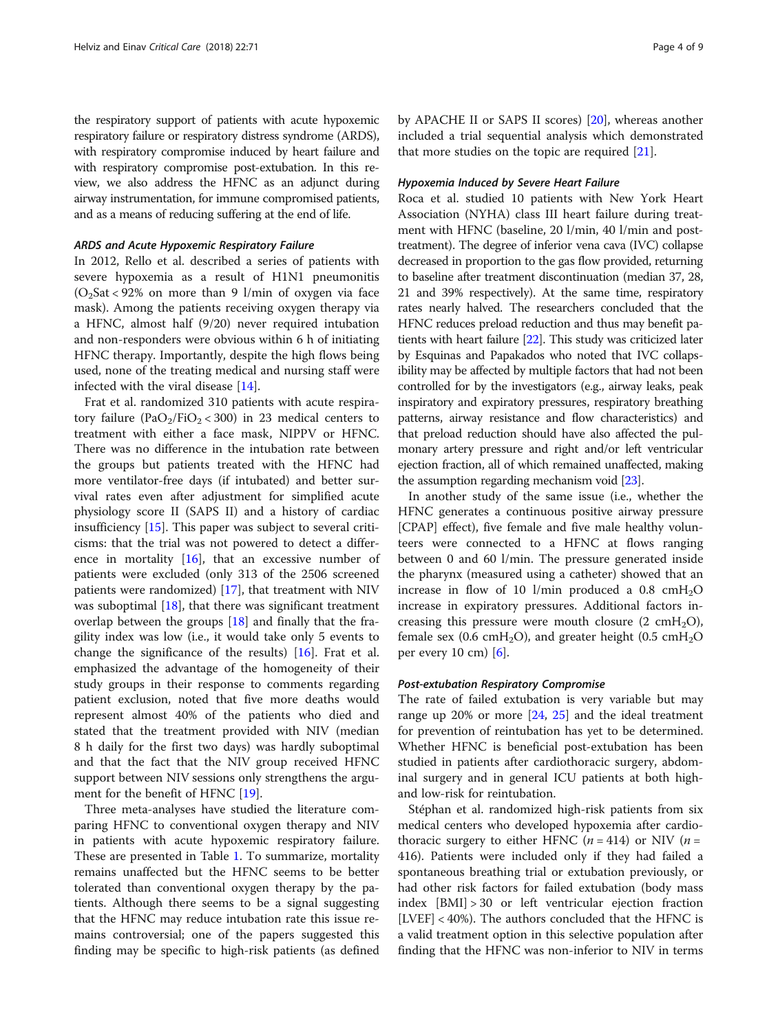the respiratory support of patients with acute hypoxemic respiratory failure or respiratory distress syndrome (ARDS), with respiratory compromise induced by heart failure and with respiratory compromise post-extubation. In this review, we also address the HFNC as an adjunct during airway instrumentation, for immune compromised patients, and as a means of reducing suffering at the end of life.

# ARDS and Acute Hypoxemic Respiratory Failure

In 2012, Rello et al. described a series of patients with severe hypoxemia as a result of H1N1 pneumonitis  $(O<sub>2</sub>Sat < 92\%$  on more than 9 l/min of oxygen via face mask). Among the patients receiving oxygen therapy via a HFNC, almost half (9/20) never required intubation and non-responders were obvious within 6 h of initiating HFNC therapy. Importantly, despite the high flows being used, none of the treating medical and nursing staff were infected with the viral disease [\[14](#page-8-0)].

Frat et al. randomized 310 patients with acute respiratory failure (PaO<sub>2</sub>/FiO<sub>2</sub> < 300) in 23 medical centers to treatment with either a face mask, NIPPV or HFNC. There was no difference in the intubation rate between the groups but patients treated with the HFNC had more ventilator-free days (if intubated) and better survival rates even after adjustment for simplified acute physiology score II (SAPS II) and a history of cardiac insufficiency [[15\]](#page-8-0). This paper was subject to several criticisms: that the trial was not powered to detect a difference in mortality  $[16]$  $[16]$ , that an excessive number of patients were excluded (only 313 of the 2506 screened patients were randomized) [[17\]](#page-8-0), that treatment with NIV was suboptimal  $[18]$  $[18]$ , that there was significant treatment overlap between the groups [[18](#page-8-0)] and finally that the fragility index was low (i.e., it would take only 5 events to change the significance of the results) [\[16\]](#page-8-0). Frat et al. emphasized the advantage of the homogeneity of their study groups in their response to comments regarding patient exclusion, noted that five more deaths would represent almost 40% of the patients who died and stated that the treatment provided with NIV (median 8 h daily for the first two days) was hardly suboptimal and that the fact that the NIV group received HFNC support between NIV sessions only strengthens the argument for the benefit of HFNC [[19\]](#page-8-0).

Three meta-analyses have studied the literature comparing HFNC to conventional oxygen therapy and NIV in patients with acute hypoxemic respiratory failure. These are presented in Table [1](#page-4-0). To summarize, mortality remains unaffected but the HFNC seems to be better tolerated than conventional oxygen therapy by the patients. Although there seems to be a signal suggesting that the HFNC may reduce intubation rate this issue remains controversial; one of the papers suggested this finding may be specific to high-risk patients (as defined

by APACHE II or SAPS II scores) [\[20](#page-8-0)], whereas another included a trial sequential analysis which demonstrated that more studies on the topic are required [[21\]](#page-8-0).

# Hypoxemia Induced by Severe Heart Failure

Roca et al. studied 10 patients with New York Heart Association (NYHA) class III heart failure during treatment with HFNC (baseline, 20 l/min, 40 l/min and posttreatment). The degree of inferior vena cava (IVC) collapse decreased in proportion to the gas flow provided, returning to baseline after treatment discontinuation (median 37, 28, 21 and 39% respectively). At the same time, respiratory rates nearly halved. The researchers concluded that the HFNC reduces preload reduction and thus may benefit patients with heart failure [\[22\]](#page-8-0). This study was criticized later by Esquinas and Papakados who noted that IVC collapsibility may be affected by multiple factors that had not been controlled for by the investigators (e.g., airway leaks, peak inspiratory and expiratory pressures, respiratory breathing patterns, airway resistance and flow characteristics) and that preload reduction should have also affected the pulmonary artery pressure and right and/or left ventricular ejection fraction, all of which remained unaffected, making the assumption regarding mechanism void [[23](#page-8-0)].

In another study of the same issue (i.e., whether the HFNC generates a continuous positive airway pressure [CPAP] effect), five female and five male healthy volunteers were connected to a HFNC at flows ranging between 0 and 60 l/min. The pressure generated inside the pharynx (measured using a catheter) showed that an increase in flow of 10 l/min produced a 0.8 cmH<sub>2</sub>O increase in expiratory pressures. Additional factors increasing this pressure were mouth closure  $(2 \text{ cmH}_2\text{O})$ , female sex (0.6 cmH<sub>2</sub>O), and greater height (0.5 cmH<sub>2</sub>O) per every 10 cm) [[6\]](#page-7-0).

## Post-extubation Respiratory Compromise

The rate of failed extubation is very variable but may range up 20% or more [\[24](#page-8-0), [25\]](#page-8-0) and the ideal treatment for prevention of reintubation has yet to be determined. Whether HFNC is beneficial post-extubation has been studied in patients after cardiothoracic surgery, abdominal surgery and in general ICU patients at both highand low-risk for reintubation.

Stéphan et al. randomized high-risk patients from six medical centers who developed hypoxemia after cardiothoracic surgery to either HFNC ( $n = 414$ ) or NIV ( $n =$ 416). Patients were included only if they had failed a spontaneous breathing trial or extubation previously, or had other risk factors for failed extubation (body mass index [BMI] > 30 or left ventricular ejection fraction [LVEF] < 40%). The authors concluded that the HFNC is a valid treatment option in this selective population after finding that the HFNC was non-inferior to NIV in terms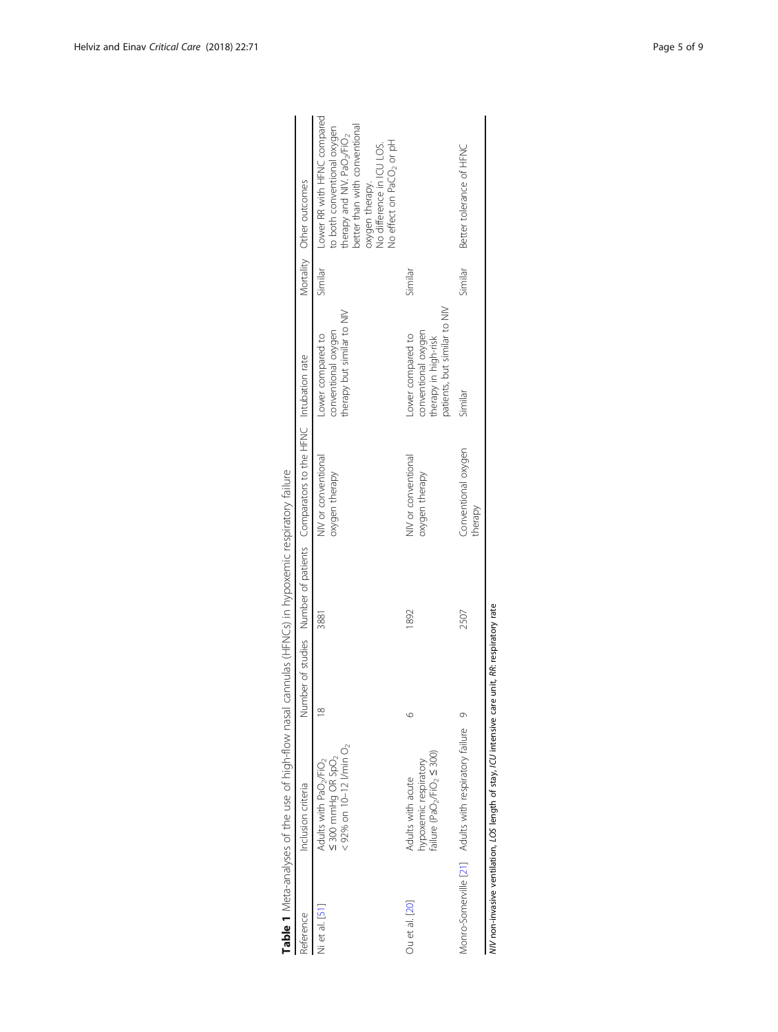|                | Table 1 Meta-analyses of the use of high-flow nasal cannulas (HFNCs) in hypoxemic respiratory failure                      |                            |      |                                                                              |                                                                                                 |         |                                                                                                                                                                                                                                            |
|----------------|----------------------------------------------------------------------------------------------------------------------------|----------------------------|------|------------------------------------------------------------------------------|-------------------------------------------------------------------------------------------------|---------|--------------------------------------------------------------------------------------------------------------------------------------------------------------------------------------------------------------------------------------------|
| Reterence      | Inclusion criteria                                                                                                         |                            |      | Number of studies Number of patients Comparators to the HFNC Intubation rate |                                                                                                 |         | Mortality Other outcomes                                                                                                                                                                                                                   |
| Ni et al. [51] | < 92% on 10-12 I/min O <sub>2</sub><br>$\leq$ 300 mmHg OR $\text{SDO}_2$<br>Adults with PaO <sub>2</sub> /FiO <sub>2</sub> | $\approx$                  | 3881 | NIV or conventional<br>oxygen therapy                                        | therapy but similar to NIV<br>conventional oxygen<br>ower compared to                           | Similar | Lower RR with HFNC compared<br>better than with conventional<br>to both conventional oxygen<br>therapy and NIV. PaO <sub>2</sub> /FiO <sub>2</sub><br>No effect on PaCO <sub>2</sub> or pH<br>No difference in ICU LOS.<br>oxygen therapy. |
| Ou et al. [20] | failure (PaO <sub>2</sub> /FiO <sub>2</sub> $\leq$ 300)<br>ypoxemic respiratory<br>Adults with acute                       | C                          | 1892 | NIV or conventional<br>oxygen therapy                                        | patients, but similar to NIV<br>conventional oxygen<br>ower compared to<br>therapy in high-risk | Similar |                                                                                                                                                                                                                                            |
|                | Monro-Somerville [21] Adults with respiratory failure                                                                      |                            | 2507 | Conventional oxygen<br>therapy                                               | Similar                                                                                         | Similar | Better tolerance of HFNC                                                                                                                                                                                                                   |
|                | NIV non-invasive ventilation, LOS length of stay, ICU intensive care                                                       | unit, RR: respiratory rate |      |                                                                              |                                                                                                 |         |                                                                                                                                                                                                                                            |

| 1<br>֠<br>֚֬֕                               |
|---------------------------------------------|
| l                                           |
|                                             |
| $\overline{\phantom{a}}$                    |
| j<br>$\frac{1}{2}$<br>j                     |
| ֚֡<br>)<br>5<br>5<br>ا<br>ا<br>מרמן רממ     |
| 5                                           |
| ١                                           |
| j<br>ּ<br>י                                 |
| ジュー りとす すり りりこ                              |
| j                                           |
| I<br>$\frac{1}{2}$<br>-<br>2<br>2<br>2<br>ć |
|                                             |
| $\vdots$<br>$\frac{a}{c}$<br>ĉ<br>ī<br>I    |

<span id="page-4-0"></span>Helviz and Einav Critical Care (2018) 22:71 and Einav Critical Care (2018) 22:71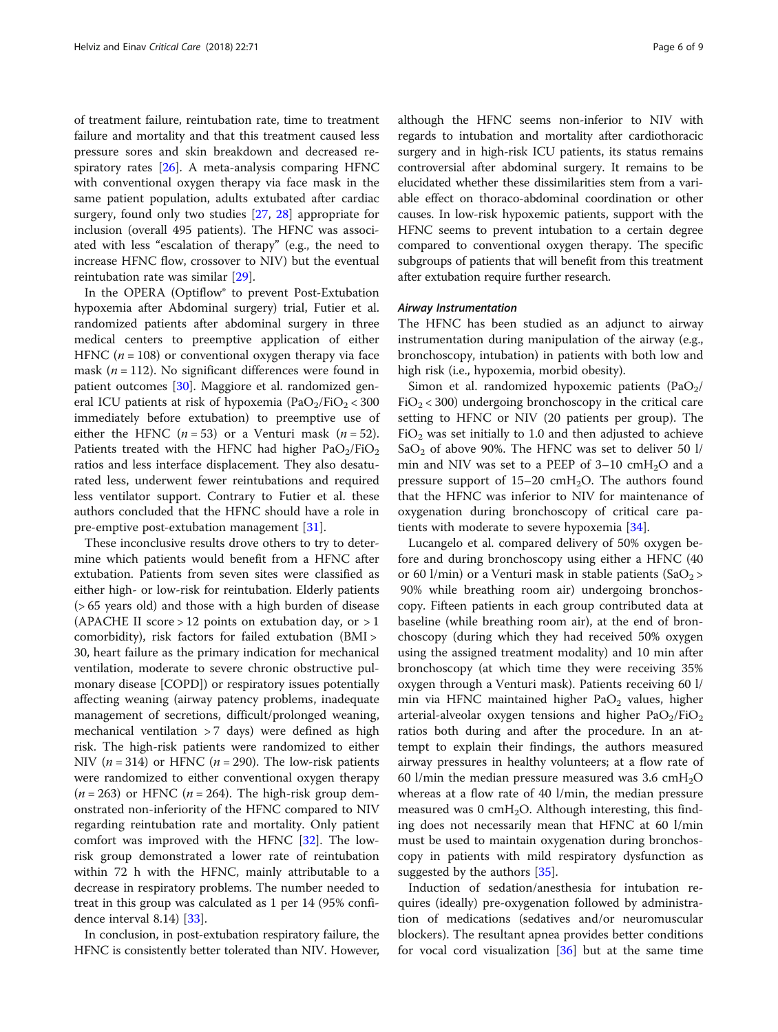of treatment failure, reintubation rate, time to treatment failure and mortality and that this treatment caused less pressure sores and skin breakdown and decreased respiratory rates  $[26]$  $[26]$ . A meta-analysis comparing HFNC with conventional oxygen therapy via face mask in the same patient population, adults extubated after cardiac surgery, found only two studies [[27](#page-8-0), [28](#page-8-0)] appropriate for inclusion (overall 495 patients). The HFNC was associated with less "escalation of therapy" (e.g., the need to increase HFNC flow, crossover to NIV) but the eventual reintubation rate was similar [\[29](#page-8-0)].

In the OPERA (Optiflow® to prevent Post-Extubation hypoxemia after Abdominal surgery) trial, Futier et al. randomized patients after abdominal surgery in three medical centers to preemptive application of either HFNC ( $n = 108$ ) or conventional oxygen therapy via face mask ( $n = 112$ ). No significant differences were found in patient outcomes [\[30\]](#page-8-0). Maggiore et al. randomized general ICU patients at risk of hypoxemia  $(\text{PaO}_2/\text{FiO}_2 < 300$ immediately before extubation) to preemptive use of either the HFNC ( $n = 53$ ) or a Venturi mask ( $n = 52$ ). Patients treated with the HFNC had higher  $PaO<sub>2</sub>/FiO<sub>2</sub>$ ratios and less interface displacement. They also desaturated less, underwent fewer reintubations and required less ventilator support. Contrary to Futier et al. these authors concluded that the HFNC should have a role in pre-emptive post-extubation management [[31\]](#page-8-0).

These inconclusive results drove others to try to determine which patients would benefit from a HFNC after extubation. Patients from seven sites were classified as either high- or low-risk for reintubation. Elderly patients (> 65 years old) and those with a high burden of disease (APACHE II score  $> 12$  points on extubation day, or  $> 1$ comorbidity), risk factors for failed extubation (BMI > 30, heart failure as the primary indication for mechanical ventilation, moderate to severe chronic obstructive pulmonary disease [COPD]) or respiratory issues potentially affecting weaning (airway patency problems, inadequate management of secretions, difficult/prolonged weaning, mechanical ventilation  $> 7$  days) were defined as high risk. The high-risk patients were randomized to either NIV ( $n = 314$ ) or HFNC ( $n = 290$ ). The low-risk patients were randomized to either conventional oxygen therapy  $(n = 263)$  or HFNC  $(n = 264)$ . The high-risk group demonstrated non-inferiority of the HFNC compared to NIV regarding reintubation rate and mortality. Only patient comfort was improved with the HFNC [[32\]](#page-8-0). The lowrisk group demonstrated a lower rate of reintubation within 72 h with the HFNC, mainly attributable to a decrease in respiratory problems. The number needed to treat in this group was calculated as 1 per 14 (95% confidence interval 8.14) [[33](#page-8-0)].

In conclusion, in post-extubation respiratory failure, the HFNC is consistently better tolerated than NIV. However, although the HFNC seems non-inferior to NIV with regards to intubation and mortality after cardiothoracic surgery and in high-risk ICU patients, its status remains controversial after abdominal surgery. It remains to be elucidated whether these dissimilarities stem from a variable effect on thoraco-abdominal coordination or other causes. In low-risk hypoxemic patients, support with the HFNC seems to prevent intubation to a certain degree compared to conventional oxygen therapy. The specific subgroups of patients that will benefit from this treatment after extubation require further research.

#### Airway Instrumentation

The HFNC has been studied as an adjunct to airway instrumentation during manipulation of the airway (e.g., bronchoscopy, intubation) in patients with both low and high risk (i.e., hypoxemia, morbid obesity).

Simon et al. randomized hypoxemic patients  $(PaO<sub>2</sub>/$  $FiO<sub>2</sub> < 300$ ) undergoing bronchoscopy in the critical care setting to HFNC or NIV (20 patients per group). The  $FiO<sub>2</sub>$  was set initially to 1.0 and then adjusted to achieve SaO<sub>2</sub> of above 90%. The HFNC was set to deliver 50 l/ min and NIV was set to a PEEP of  $3-10$  cmH<sub>2</sub>O and a pressure support of  $15-20$  cmH<sub>2</sub>O. The authors found that the HFNC was inferior to NIV for maintenance of oxygenation during bronchoscopy of critical care patients with moderate to severe hypoxemia [[34](#page-8-0)].

Lucangelo et al. compared delivery of 50% oxygen before and during bronchoscopy using either a HFNC (40 or 60 l/min) or a Venturi mask in stable patients (SaO<sub>2</sub> > 90% while breathing room air) undergoing bronchoscopy. Fifteen patients in each group contributed data at baseline (while breathing room air), at the end of bronchoscopy (during which they had received 50% oxygen using the assigned treatment modality) and 10 min after bronchoscopy (at which time they were receiving 35% oxygen through a Venturi mask). Patients receiving 60 l/ min via HFNC maintained higher  $PaO<sub>2</sub>$  values, higher arterial-alveolar oxygen tensions and higher  $PaO<sub>2</sub>/FiO<sub>2</sub>$ ratios both during and after the procedure. In an attempt to explain their findings, the authors measured airway pressures in healthy volunteers; at a flow rate of 60 l/min the median pressure measured was 3.6 cm $H_2O$ whereas at a flow rate of 40 l/min, the median pressure measured was 0  $\text{cm}H_2O$ . Although interesting, this finding does not necessarily mean that HFNC at 60 l/min must be used to maintain oxygenation during bronchoscopy in patients with mild respiratory dysfunction as suggested by the authors [\[35](#page-8-0)].

Induction of sedation/anesthesia for intubation requires (ideally) pre-oxygenation followed by administration of medications (sedatives and/or neuromuscular blockers). The resultant apnea provides better conditions for vocal cord visualization [[36\]](#page-8-0) but at the same time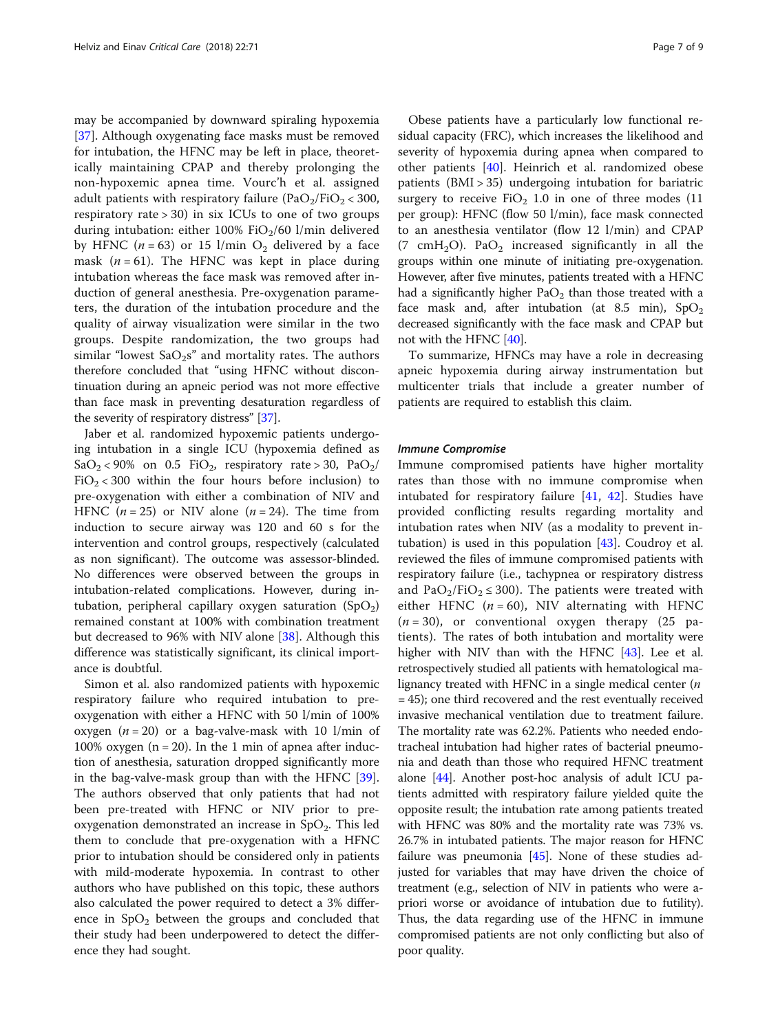may be accompanied by downward spiraling hypoxemia [[37\]](#page-8-0). Although oxygenating face masks must be removed for intubation, the HFNC may be left in place, theoretically maintaining CPAP and thereby prolonging the non-hypoxemic apnea time. Vourc'h et al. assigned adult patients with respiratory failure (PaO<sub>2</sub>/FiO<sub>2</sub> < 300, respiratory rate > 30) in six ICUs to one of two groups during intubation: either  $100\%$  FiO<sub>2</sub>/60 l/min delivered by HFNC ( $n = 63$ ) or 15 l/min O<sub>2</sub> delivered by a face mask  $(n = 61)$ . The HFNC was kept in place during intubation whereas the face mask was removed after induction of general anesthesia. Pre-oxygenation parameters, the duration of the intubation procedure and the quality of airway visualization were similar in the two groups. Despite randomization, the two groups had similar "lowest  $SaO_2s$ " and mortality rates. The authors therefore concluded that "using HFNC without discontinuation during an apneic period was not more effective than face mask in preventing desaturation regardless of the severity of respiratory distress" [[37\]](#page-8-0).

Jaber et al. randomized hypoxemic patients undergoing intubation in a single ICU (hypoxemia defined as  $SaO_2 < 90\%$  on 0.5 FiO<sub>2</sub>, respiratory rate > 30, PaO<sub>2</sub>/  $FiO<sub>2</sub> < 300$  within the four hours before inclusion) to pre-oxygenation with either a combination of NIV and HFNC  $(n = 25)$  or NIV alone  $(n = 24)$ . The time from induction to secure airway was 120 and 60 s for the intervention and control groups, respectively (calculated as non significant). The outcome was assessor-blinded. No differences were observed between the groups in intubation-related complications. However, during intubation, peripheral capillary oxygen saturation  $(SpO<sub>2</sub>)$ remained constant at 100% with combination treatment but decreased to 96% with NIV alone [\[38\]](#page-8-0). Although this difference was statistically significant, its clinical importance is doubtful.

Simon et al. also randomized patients with hypoxemic respiratory failure who required intubation to preoxygenation with either a HFNC with 50 l/min of 100% oxygen ( $n = 20$ ) or a bag-valve-mask with 10 l/min of 100% oxygen ( $n = 20$ ). In the 1 min of apnea after induction of anesthesia, saturation dropped significantly more in the bag-valve-mask group than with the HFNC [\[39](#page-8-0)]. The authors observed that only patients that had not been pre-treated with HFNC or NIV prior to preoxygenation demonstrated an increase in  $SpO<sub>2</sub>$ . This led them to conclude that pre-oxygenation with a HFNC prior to intubation should be considered only in patients with mild-moderate hypoxemia. In contrast to other authors who have published on this topic, these authors also calculated the power required to detect a 3% difference in  $SpO<sub>2</sub>$  between the groups and concluded that their study had been underpowered to detect the difference they had sought.

Obese patients have a particularly low functional residual capacity (FRC), which increases the likelihood and severity of hypoxemia during apnea when compared to other patients [[40](#page-8-0)]. Heinrich et al. randomized obese patients (BMI > 35) undergoing intubation for bariatric surgery to receive  $FiO<sub>2</sub> 1.0$  in one of three modes (11 per group): HFNC (flow 50 l/min), face mask connected to an anesthesia ventilator (flow 12 l/min) and CPAP  $(7 \text{ cmH}_2\text{O})$ . PaO<sub>2</sub> increased significantly in all the groups within one minute of initiating pre-oxygenation. However, after five minutes, patients treated with a HFNC had a significantly higher  $PaO<sub>2</sub>$  than those treated with a face mask and, after intubation (at 8.5 min),  $SpO<sub>2</sub>$ decreased significantly with the face mask and CPAP but not with the HFNC [[40](#page-8-0)].

To summarize, HFNCs may have a role in decreasing apneic hypoxemia during airway instrumentation but multicenter trials that include a greater number of patients are required to establish this claim.

#### Immune Compromise

Immune compromised patients have higher mortality rates than those with no immune compromise when intubated for respiratory failure [\[41](#page-8-0), [42](#page-8-0)]. Studies have provided conflicting results regarding mortality and intubation rates when NIV (as a modality to prevent intubation) is used in this population [[43\]](#page-8-0). Coudroy et al. reviewed the files of immune compromised patients with respiratory failure (i.e., tachypnea or respiratory distress and PaO<sub>2</sub>/FiO<sub>2</sub> ≤ 300). The patients were treated with either HFNC  $(n = 60)$ , NIV alternating with HFNC  $(n = 30)$ , or conventional oxygen therapy (25 patients). The rates of both intubation and mortality were higher with NIV than with the HFNC [\[43\]](#page-8-0). Lee et al. retrospectively studied all patients with hematological malignancy treated with HFNC in a single medical center  $(n)$ = 45); one third recovered and the rest eventually received invasive mechanical ventilation due to treatment failure. The mortality rate was 62.2%. Patients who needed endotracheal intubation had higher rates of bacterial pneumonia and death than those who required HFNC treatment alone [\[44\]](#page-8-0). Another post-hoc analysis of adult ICU patients admitted with respiratory failure yielded quite the opposite result; the intubation rate among patients treated with HFNC was 80% and the mortality rate was 73% vs. 26.7% in intubated patients. The major reason for HFNC failure was pneumonia [\[45\]](#page-8-0). None of these studies adjusted for variables that may have driven the choice of treatment (e.g., selection of NIV in patients who were apriori worse or avoidance of intubation due to futility). Thus, the data regarding use of the HFNC in immune compromised patients are not only conflicting but also of poor quality.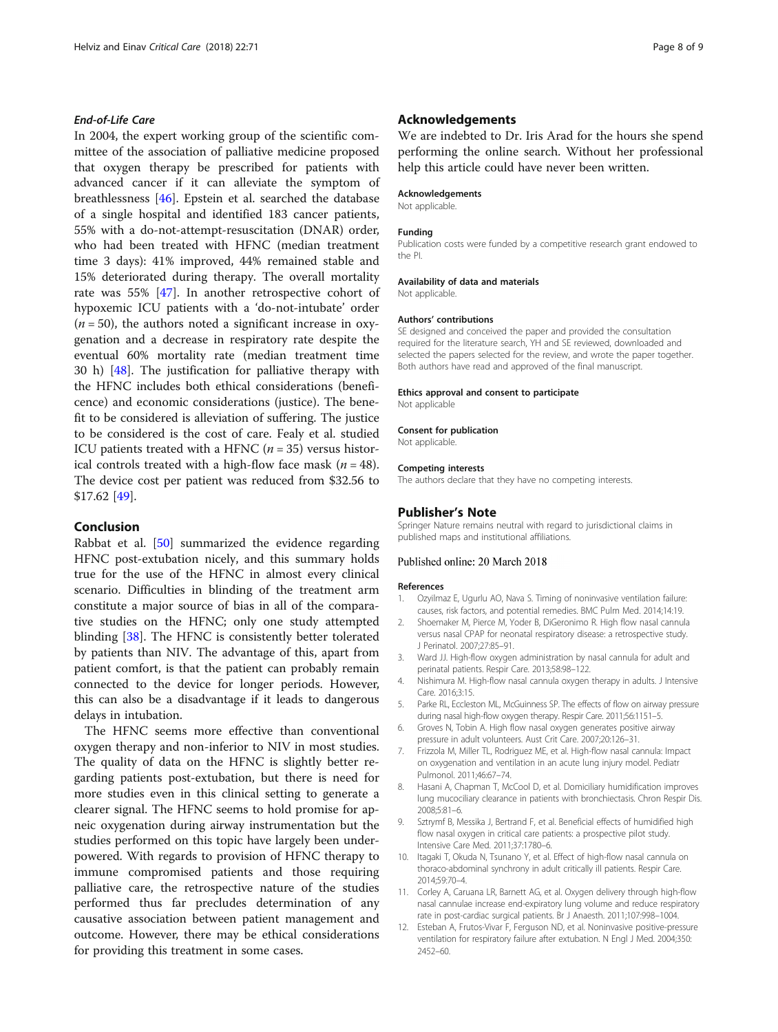# <span id="page-7-0"></span>End-of-Life Care

In 2004, the expert working group of the scientific committee of the association of palliative medicine proposed that oxygen therapy be prescribed for patients with advanced cancer if it can alleviate the symptom of breathlessness [[46\]](#page-8-0). Epstein et al. searched the database of a single hospital and identified 183 cancer patients, 55% with a do-not-attempt-resuscitation (DNAR) order, who had been treated with HFNC (median treatment time 3 days): 41% improved, 44% remained stable and 15% deteriorated during therapy. The overall mortality rate was 55% [[47](#page-8-0)]. In another retrospective cohort of hypoxemic ICU patients with a 'do-not-intubate' order  $(n = 50)$ , the authors noted a significant increase in oxygenation and a decrease in respiratory rate despite the eventual 60% mortality rate (median treatment time 30 h) [\[48](#page-8-0)]. The justification for palliative therapy with the HFNC includes both ethical considerations (beneficence) and economic considerations (justice). The benefit to be considered is alleviation of suffering. The justice to be considered is the cost of care. Fealy et al. studied ICU patients treated with a HFNC ( $n = 35$ ) versus historical controls treated with a high-flow face mask  $(n = 48)$ . The device cost per patient was reduced from \$32.56 to \$17.62 [[49](#page-8-0)].

# Conclusion

Rabbat et al. [\[50\]](#page-8-0) summarized the evidence regarding HFNC post-extubation nicely, and this summary holds true for the use of the HFNC in almost every clinical scenario. Difficulties in blinding of the treatment arm constitute a major source of bias in all of the comparative studies on the HFNC; only one study attempted blinding [[38\]](#page-8-0). The HFNC is consistently better tolerated by patients than NIV. The advantage of this, apart from patient comfort, is that the patient can probably remain connected to the device for longer periods. However, this can also be a disadvantage if it leads to dangerous delays in intubation.

The HFNC seems more effective than conventional oxygen therapy and non-inferior to NIV in most studies. The quality of data on the HFNC is slightly better regarding patients post-extubation, but there is need for more studies even in this clinical setting to generate a clearer signal. The HFNC seems to hold promise for apneic oxygenation during airway instrumentation but the studies performed on this topic have largely been underpowered. With regards to provision of HFNC therapy to immune compromised patients and those requiring palliative care, the retrospective nature of the studies performed thus far precludes determination of any causative association between patient management and outcome. However, there may be ethical considerations for providing this treatment in some cases.

## Acknowledgements

We are indebted to Dr. Iris Arad for the hours she spend performing the online search. Without her professional help this article could have never been written.

#### Acknowledgements

Not applicable.

#### Funding

Publication costs were funded by a competitive research grant endowed to the PI.

#### Availability of data and materials

Not applicable.

#### Authors' contributions

SE designed and conceived the paper and provided the consultation required for the literature search, YH and SE reviewed, downloaded and selected the papers selected for the review, and wrote the paper together. Both authors have read and approved of the final manuscript.

#### Ethics approval and consent to participate

Not applicable

Consent for publication Not applicable.

#### Competing interests

The authors declare that they have no competing interests.

#### Publisher's Note

Springer Nature remains neutral with regard to jurisdictional claims in published maps and institutional affiliations.

#### Published online: 20 March 2018

#### References

- 1. Ozyilmaz E, Ugurlu AO, Nava S. Timing of noninvasive ventilation failure: causes, risk factors, and potential remedies. BMC Pulm Med. 2014;14:19.
- 2. Shoemaker M, Pierce M, Yoder B, DiGeronimo R. High flow nasal cannula versus nasal CPAP for neonatal respiratory disease: a retrospective study. J Perinatol. 2007;27:85–91.
- 3. Ward JJ. High-flow oxygen administration by nasal cannula for adult and perinatal patients. Respir Care. 2013;58:98–122.
- 4. Nishimura M. High-flow nasal cannula oxygen therapy in adults. J Intensive Care. 2016;3:15.
- 5. Parke RL, Eccleston ML, McGuinness SP. The effects of flow on airway pressure during nasal high-flow oxygen therapy. Respir Care. 2011;56:1151–5.
- 6. Groves N, Tobin A. High flow nasal oxygen generates positive airway pressure in adult volunteers. Aust Crit Care. 2007;20:126–31.
- 7. Frizzola M, Miller TL, Rodriguez ME, et al. High-flow nasal cannula: Impact on oxygenation and ventilation in an acute lung injury model. Pediatr Pulmonol. 2011;46:67–74.
- 8. Hasani A, Chapman T, McCool D, et al. Domiciliary humidification improves lung mucociliary clearance in patients with bronchiectasis. Chron Respir Dis. 2008;5:81–6.
- 9. Sztrymf B, Messika J, Bertrand F, et al. Beneficial effects of humidified high flow nasal oxygen in critical care patients: a prospective pilot study. Intensive Care Med. 2011;37:1780–6.
- 10. Itagaki T, Okuda N, Tsunano Y, et al. Effect of high-flow nasal cannula on thoraco-abdominal synchrony in adult critically ill patients. Respir Care. 2014;59:70–4.
- 11. Corley A, Caruana LR, Barnett AG, et al. Oxygen delivery through high-flow nasal cannulae increase end-expiratory lung volume and reduce respiratory rate in post-cardiac surgical patients. Br J Anaesth. 2011;107:998–1004.
- 12. Esteban A, Frutos-Vivar F, Ferguson ND, et al. Noninvasive positive-pressure ventilation for respiratory failure after extubation. N Engl J Med. 2004;350: 2452–60.